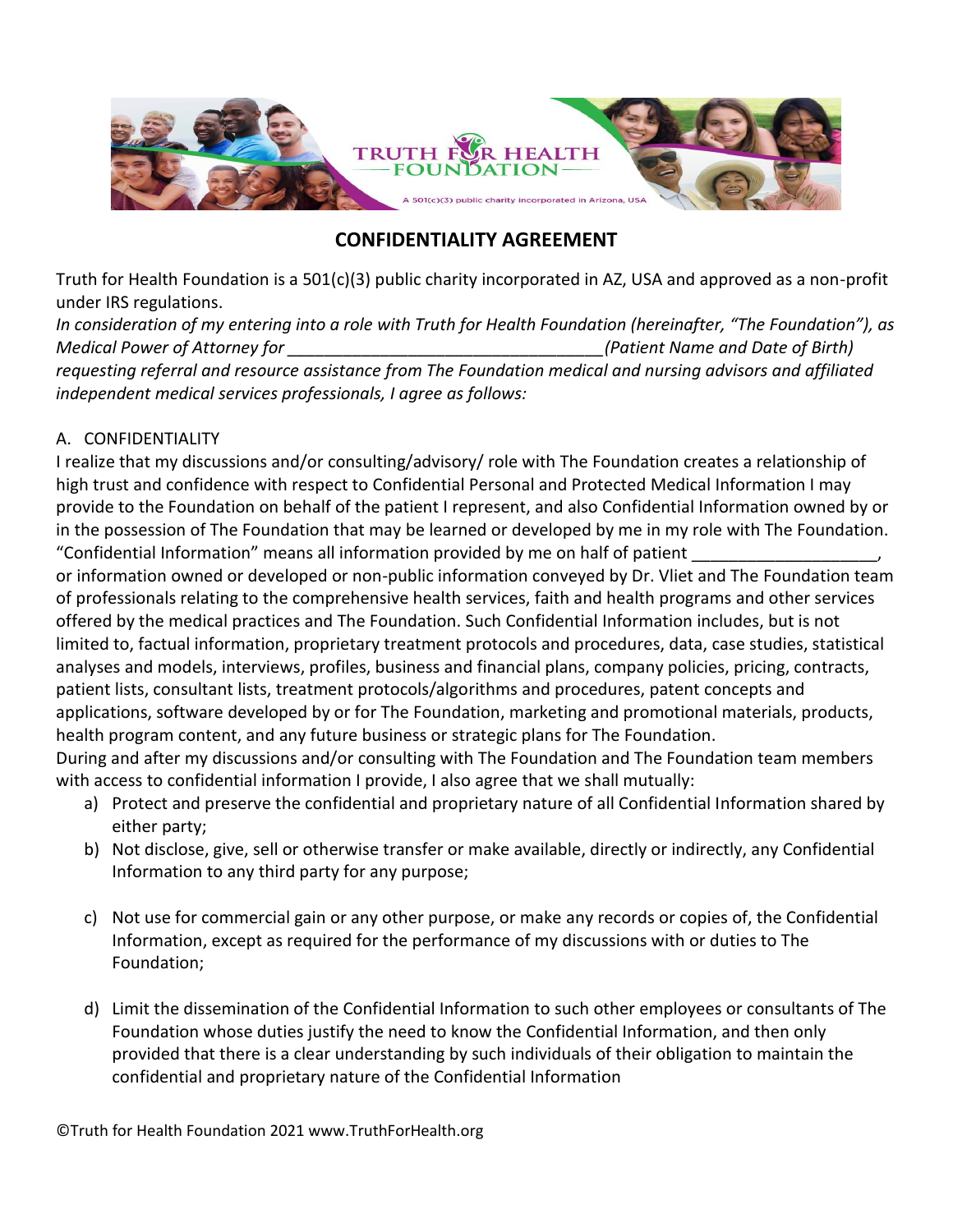

## **CONFIDENTIALITY AGREEMENT**

Truth for Health Foundation is a 501(c)(3) public charity incorporated in AZ, USA and approved as a non-profit under IRS regulations.

*In consideration of my entering into a role with Truth for Health Foundation (hereinafter, "The Foundation"), as Medical Power of Attorney for \_\_\_\_\_\_\_\_\_\_\_\_\_\_\_\_\_\_\_\_\_\_\_\_\_\_\_\_\_\_\_\_\_\_(Patient Name and Date of Birth) requesting referral and resource assistance from The Foundation medical and nursing advisors and affiliated independent medical services professionals, I agree as follows:*

## A. CONFIDENTIALITY

I realize that my discussions and/or consulting/advisory/ role with The Foundation creates a relationship of high trust and confidence with respect to Confidential Personal and Protected Medical Information I may provide to the Foundation on behalf of the patient I represent, and also Confidential Information owned by or in the possession of The Foundation that may be learned or developed by me in my role with The Foundation. "Confidential Information" means all information provided by me on half of patient \_\_\_\_\_\_\_\_\_\_\_\_\_\_\_\_\_\_\_\_,

or information owned or developed or non-public information conveyed by Dr. Vliet and The Foundation team of professionals relating to the comprehensive health services, faith and health programs and other services offered by the medical practices and The Foundation. Such Confidential Information includes, but is not limited to, factual information, proprietary treatment protocols and procedures, data, case studies, statistical analyses and models, interviews, profiles, business and financial plans, company policies, pricing, contracts, patient lists, consultant lists, treatment protocols/algorithms and procedures, patent concepts and applications, software developed by or for The Foundation, marketing and promotional materials, products, health program content, and any future business or strategic plans for The Foundation.

During and after my discussions and/or consulting with The Foundation and The Foundation team members with access to confidential information I provide, I also agree that we shall mutually:

- a) Protect and preserve the confidential and proprietary nature of all Confidential Information shared by either party;
- b) Not disclose, give, sell or otherwise transfer or make available, directly or indirectly, any Confidential Information to any third party for any purpose;
- c) Not use for commercial gain or any other purpose, or make any records or copies of, the Confidential Information, except as required for the performance of my discussions with or duties to The Foundation;
- d) Limit the dissemination of the Confidential Information to such other employees or consultants of The Foundation whose duties justify the need to know the Confidential Information, and then only provided that there is a clear understanding by such individuals of their obligation to maintain the confidential and proprietary nature of the Confidential Information